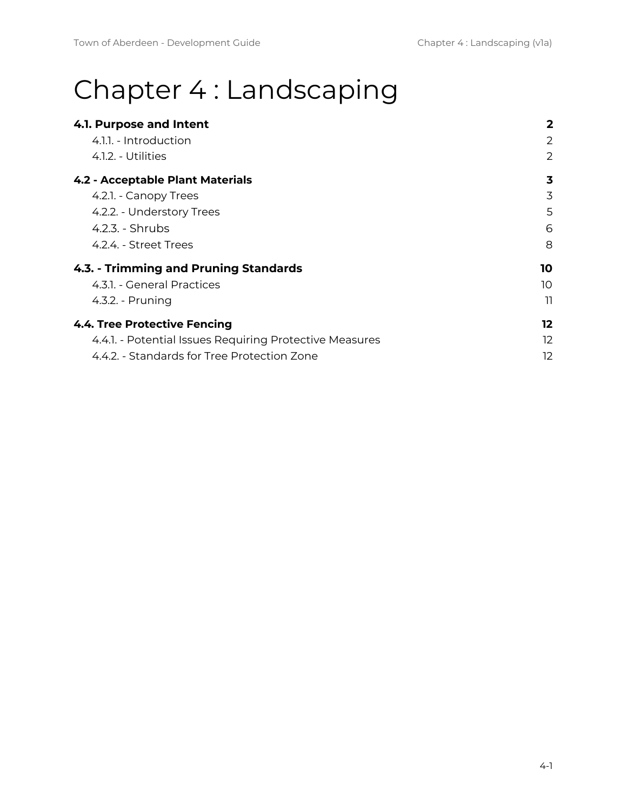# Chapter 4 : Landscaping

| 4.1. Purpose and Intent                                 | 2  |
|---------------------------------------------------------|----|
| 4.1.1. - Introduction                                   | 2  |
| 4.1.2. - Utilities                                      | 2  |
| <b>4.2 - Acceptable Plant Materials</b>                 | 3  |
| 4.2.1. - Canopy Trees                                   | 3  |
| 4.2.2. - Understory Trees                               | 5  |
| 4.2.3. - Shrubs                                         | 6  |
| 4.2.4. - Street Trees                                   | 8  |
| 4.3. - Trimming and Pruning Standards                   | 10 |
| 4.3.1. - General Practices                              | 10 |
| 4.3.2. - Pruning                                        | וו |
| <b>4.4. Tree Protective Fencing</b>                     | 12 |
| 4.4.1. - Potential Issues Requiring Protective Measures | 12 |
| 4.4.2. - Standards for Tree Protection Zone             | 12 |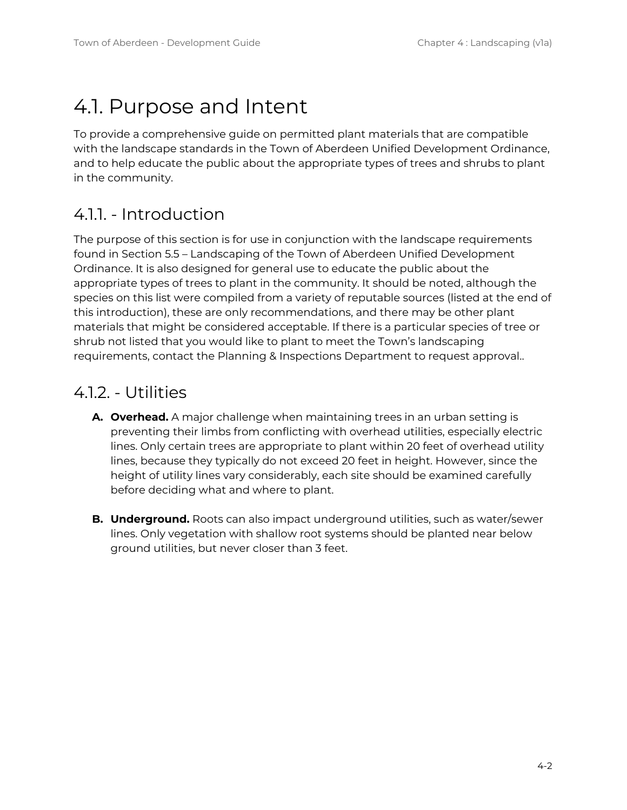### <span id="page-1-0"></span>4.1. Purpose and Intent

To provide a comprehensive guide on permitted plant materials that are compatible with the landscape standards in the Town of Aberdeen Unified Development Ordinance, and to help educate the public about the appropriate types of trees and shrubs to plant in the community.

#### <span id="page-1-1"></span>4.1.1. - Introduction

The purpose of this section is for use in conjunction with the landscape requirements found in Section 5.5 – Landscaping of the Town of Aberdeen Unified Development Ordinance. It is also designed for general use to educate the public about the appropriate types of trees to plant in the community. It should be noted, although the species on this list were compiled from a variety of reputable sources (listed at the end of this introduction), these are only recommendations, and there may be other plant materials that might be considered acceptable. If there is a particular species of tree or shrub not listed that you would like to plant to meet the Town's landscaping requirements, contact the Planning & Inspections Department to request approval..

#### <span id="page-1-2"></span>4.1.2. - Utilities

- **A. Overhead.** A major challenge when maintaining trees in an urban setting is preventing their limbs from conflicting with overhead utilities, especially electric lines. Only certain trees are appropriate to plant within 20 feet of overhead utility lines, because they typically do not exceed 20 feet in height. However, since the height of utility lines vary considerably, each site should be examined carefully before deciding what and where to plant.
- **B. Underground.** Roots can also impact underground utilities, such as water/sewer lines. Only vegetation with shallow root systems should be planted near below ground utilities, but never closer than 3 feet.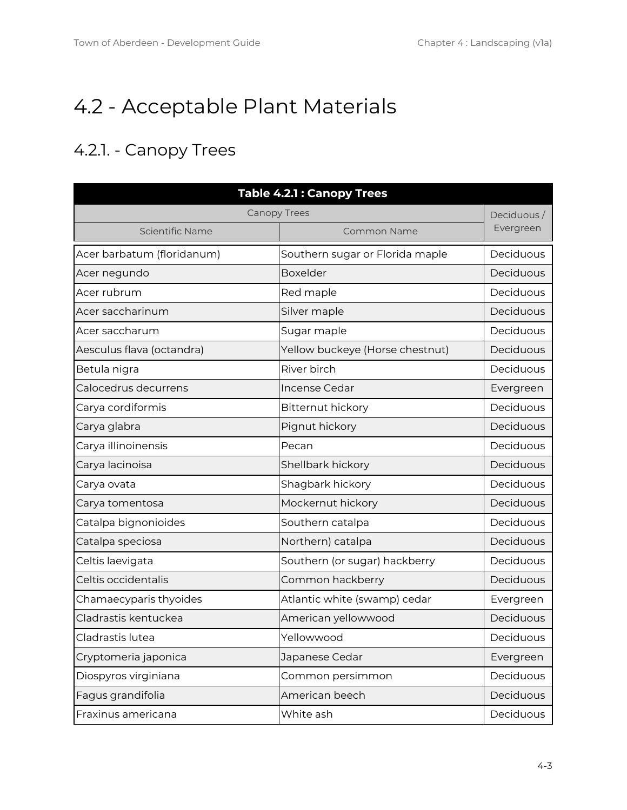### <span id="page-2-0"></span>4.2 - Acceptable Plant Materials

### <span id="page-2-1"></span>4.2.1. - Canopy Trees

| <b>Table 4.2.1: Canopy Trees</b> |                                 |            |  |
|----------------------------------|---------------------------------|------------|--|
| <b>Canopy Trees</b>              |                                 | Deciduous/ |  |
| Scientific Name                  | <b>Common Name</b>              | Evergreen  |  |
| Acer barbatum (floridanum)       | Southern sugar or Florida maple | Deciduous  |  |
| Acer negundo                     | <b>Boxelder</b>                 | Deciduous  |  |
| Acer rubrum                      | Red maple                       | Deciduous  |  |
| Acer saccharinum                 | Silver maple                    | Deciduous  |  |
| Acer saccharum                   | Sugar maple                     | Deciduous  |  |
| Aesculus flava (octandra)        | Yellow buckeye (Horse chestnut) | Deciduous  |  |
| Betula nigra                     | River birch                     | Deciduous  |  |
| Calocedrus decurrens             | <b>Incense Cedar</b>            | Evergreen  |  |
| Carya cordiformis                | Bitternut hickory               | Deciduous  |  |
| Carya glabra                     | Pignut hickory                  | Deciduous  |  |
| Carya illinoinensis              | Pecan                           | Deciduous  |  |
| Carya lacinoisa                  | Shellbark hickory               | Deciduous  |  |
| Carya ovata                      | Shagbark hickory                | Deciduous  |  |
| Carya tomentosa                  | Mockernut hickory               | Deciduous  |  |
| Catalpa bignonioides             | Southern catalpa                | Deciduous  |  |
| Catalpa speciosa                 | Northern) catalpa               | Deciduous  |  |
| Celtis laevigata                 | Southern (or sugar) hackberry   | Deciduous  |  |
| Celtis occidentalis              | Common hackberry                | Deciduous  |  |
| Chamaecyparis thyoides           | Atlantic white (swamp) cedar    | Evergreen  |  |
| Cladrastis kentuckea             | American yellowwood             | Deciduous  |  |
| Cladrastis lutea                 | Yellowwood                      | Deciduous  |  |
| Cryptomeria japonica             | Japanese Cedar                  | Evergreen  |  |
| Diospyros virginiana             | Common persimmon                | Deciduous  |  |
| Fagus grandifolia                | American beech                  | Deciduous  |  |
| Fraxinus americana               | White ash                       | Deciduous  |  |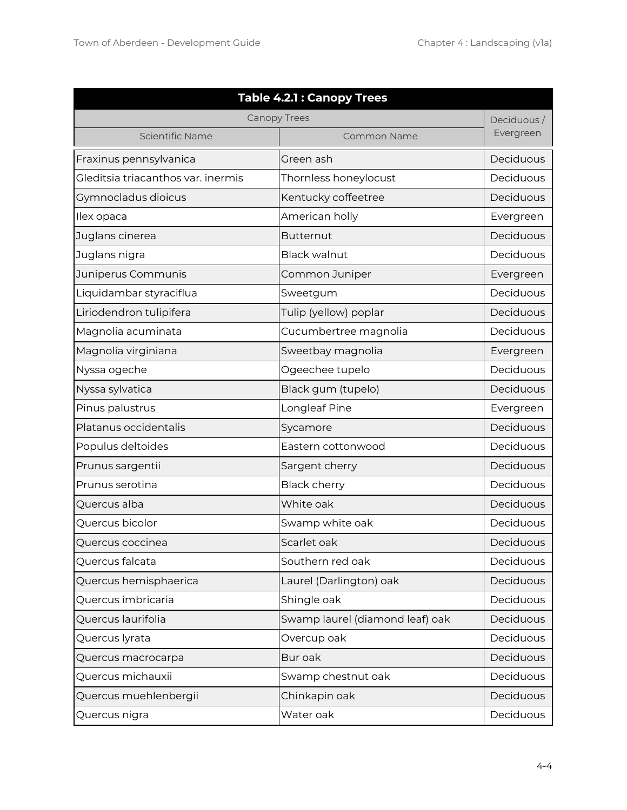| <b>Table 4.2.1: Canopy Trees</b>   |                                 |            |  |
|------------------------------------|---------------------------------|------------|--|
| <b>Canopy Trees</b>                |                                 | Deciduous/ |  |
| Scientific Name                    | Common Name                     | Evergreen  |  |
| Fraxinus pennsylvanica             | Green ash                       | Deciduous  |  |
| Gleditsia triacanthos var. inermis | Thornless honeylocust           | Deciduous  |  |
| Gymnocladus dioicus                | Kentucky coffeetree             | Deciduous  |  |
| Ilex opaca                         | American holly                  | Evergreen  |  |
| Juglans cinerea                    | <b>Butternut</b>                | Deciduous  |  |
| Juglans nigra                      | <b>Black walnut</b>             | Deciduous  |  |
| Juniperus Communis                 | Common Juniper                  | Evergreen  |  |
| Liquidambar styraciflua            | Sweetgum                        | Deciduous  |  |
| Liriodendron tulipifera            | Tulip (yellow) poplar           | Deciduous  |  |
| Magnolia acuminata                 | Cucumbertree magnolia           | Deciduous  |  |
| Magnolia virginiana                | Sweetbay magnolia               | Evergreen  |  |
| Nyssa ogeche                       | Ogeechee tupelo                 | Deciduous  |  |
| Nyssa sylvatica                    | Black gum (tupelo)              | Deciduous  |  |
| Pinus palustrus                    | Longleaf Pine                   | Evergreen  |  |
| Platanus occidentalis              | Sycamore                        | Deciduous  |  |
| Populus deltoides                  | Eastern cottonwood              | Deciduous  |  |
| Prunus sargentii                   | Sargent cherry                  | Deciduous  |  |
| Prunus serotina                    | <b>Black cherry</b>             | Deciduous  |  |
| Quercus alba                       | White oak                       | Deciduous  |  |
| Quercus bicolor                    | Swamp white oak                 | Deciduous  |  |
| Quercus coccinea                   | Scarlet oak                     | Deciduous  |  |
| Quercus falcata                    | Southern red oak                | Deciduous  |  |
| Quercus hemisphaerica              | Laurel (Darlington) oak         | Deciduous  |  |
| Quercus imbricaria                 | Shingle oak                     | Deciduous  |  |
| Quercus laurifolia                 | Swamp laurel (diamond leaf) oak | Deciduous  |  |
| Quercus lyrata                     | Overcup oak                     | Deciduous  |  |
| Quercus macrocarpa                 | Bur oak                         | Deciduous  |  |
| Quercus michauxii                  | Swamp chestnut oak              | Deciduous  |  |
| Quercus muehlenbergii              | Chinkapin oak                   | Deciduous  |  |
| Quercus nigra                      | Water oak                       | Deciduous  |  |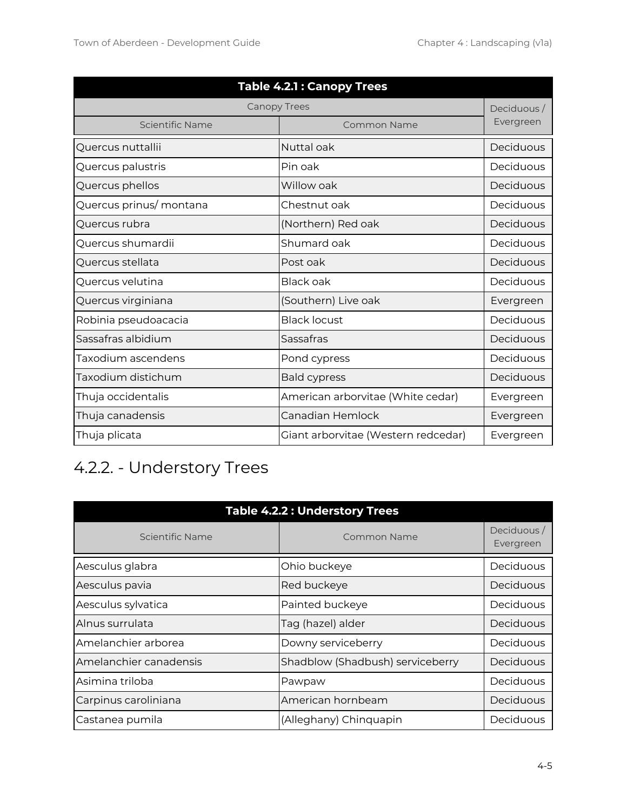| <b>Table 4.2.1: Canopy Trees</b> |                                     |            |  |
|----------------------------------|-------------------------------------|------------|--|
| <b>Canopy Trees</b>              |                                     | Deciduous/ |  |
| Scientific Name                  | Common Name                         | Evergreen  |  |
| Quercus nuttallii                | Nuttal oak                          | Deciduous  |  |
| Quercus palustris                | Pin oak                             | Deciduous  |  |
| Quercus phellos                  | Willow oak                          | Deciduous  |  |
| Quercus prinus/montana           | Chestnut oak                        | Deciduous  |  |
| Quercus rubra                    | (Northern) Red oak                  | Deciduous  |  |
| Quercus shumardii                | Shumard oak                         | Deciduous  |  |
| Quercus stellata                 | Post oak                            | Deciduous  |  |
| Quercus velutina                 | <b>Black oak</b>                    | Deciduous  |  |
| Quercus virginiana               | (Southern) Live oak                 | Evergreen  |  |
| Robinia pseudoacacia             | <b>Black locust</b>                 | Deciduous  |  |
| Sassafras albidium               | Sassafras                           | Deciduous  |  |
| Taxodium ascendens               | Pond cypress                        | Deciduous  |  |
| Taxodium distichum               | <b>Bald cypress</b>                 | Deciduous  |  |
| Thuja occidentalis               | American arborvitae (White cedar)   | Evergreen  |  |
| Thuja canadensis                 | Canadian Hemlock                    | Evergreen  |  |
| Thuja plicata                    | Giant arborvitae (Western redcedar) | Evergreen  |  |

### <span id="page-4-0"></span>4.2.2. - Understory Trees

| <b>Table 4.2.2: Understory Trees</b> |                                  |                         |  |
|--------------------------------------|----------------------------------|-------------------------|--|
| Scientific Name                      | Common Name                      | Deciduous/<br>Evergreen |  |
| Aesculus glabra                      | Ohio buckeye                     | Deciduous               |  |
| Aesculus pavia                       | Red buckeye                      | Deciduous               |  |
| Aesculus sylvatica                   | Painted buckeye                  | Deciduous               |  |
| Alnus surrulata                      | Tag (hazel) alder                | Deciduous               |  |
| Amelanchier arborea                  | Downy serviceberry               | Deciduous               |  |
| Amelanchier canadensis               | Shadblow (Shadbush) serviceberry | Deciduous               |  |
| Asimina triloba                      | Pawpaw                           | Deciduous               |  |
| Carpinus caroliniana                 | American hornbeam                | Deciduous               |  |
| Castanea pumila                      | (Alleghany) Chinquapin           | Deciduous               |  |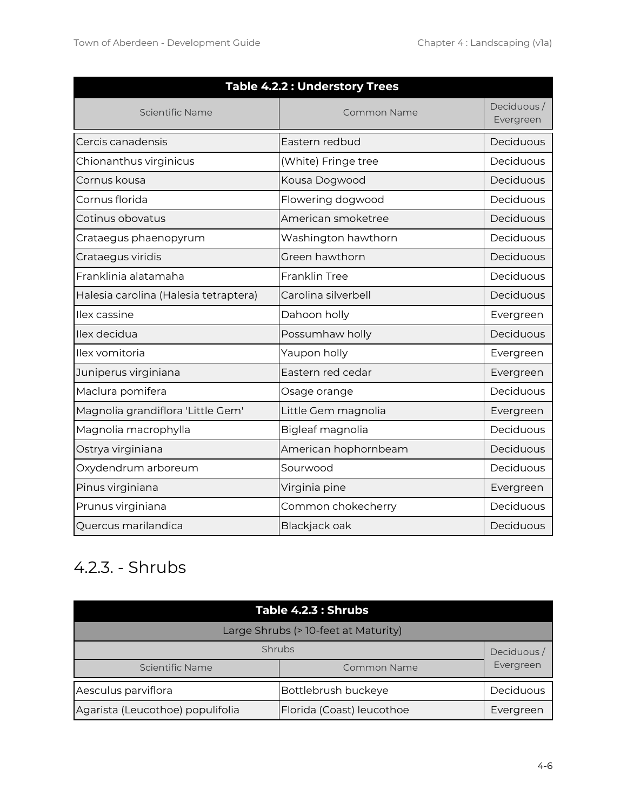| <b>Table 4.2.2 : Understory Trees</b> |                      |                         |  |
|---------------------------------------|----------------------|-------------------------|--|
| Scientific Name<br>Common Name        |                      | Deciduous/<br>Evergreen |  |
| Cercis canadensis                     | Eastern redbud       | Deciduous               |  |
| Chionanthus virginicus                | (White) Fringe tree  | Deciduous               |  |
| Cornus kousa                          | Kousa Dogwood        | Deciduous               |  |
| Cornus florida                        | Flowering dogwood    | Deciduous               |  |
| Cotinus obovatus                      | American smoketree   | Deciduous               |  |
| Crataegus phaenopyrum                 | Washington hawthorn  | Deciduous               |  |
| Crataegus viridis                     | Green hawthorn       | Deciduous               |  |
| Franklinia alatamaha                  | Franklin Tree        | Deciduous               |  |
| Halesia carolina (Halesia tetraptera) | Carolina silverbell  | Deciduous               |  |
| Ilex cassine                          | Dahoon holly         | Evergreen               |  |
| Ilex decidua                          | Possumhaw holly      | Deciduous               |  |
| Ilex vomitoria                        | Yaupon holly         | Evergreen               |  |
| Juniperus virginiana                  | Eastern red cedar    | Evergreen               |  |
| Maclura pomifera                      | Osage orange         | Deciduous               |  |
| Magnolia grandiflora 'Little Gem'     | Little Gem magnolia  | Evergreen               |  |
| Magnolia macrophylla                  | Bigleaf magnolia     | Deciduous               |  |
| Ostrya virginiana                     | American hophornbeam | Deciduous               |  |
| Oxydendrum arboreum                   | Sourwood             | Deciduous               |  |
| Pinus virginiana                      | Virginia pine        | Evergreen               |  |
| Prunus virginiana                     | Common chokecherry   | Deciduous               |  |
| Quercus marilandica                   | Blackjack oak        | Deciduous               |  |

### <span id="page-5-0"></span>4.2.3. - Shrubs

| <b>Table 4.2.3 : Shrubs</b>           |                           |           |  |
|---------------------------------------|---------------------------|-----------|--|
| Large Shrubs (> 10-feet at Maturity)  |                           |           |  |
| <b>Shrubs</b><br>Deciduous/           |                           |           |  |
| Scientific Name<br><b>Common Name</b> |                           | Evergreen |  |
| Aesculus parviflora                   | Bottlebrush buckeye       | Deciduous |  |
| Agarista (Leucothoe) populifolia      | Florida (Coast) leucothoe | Evergreen |  |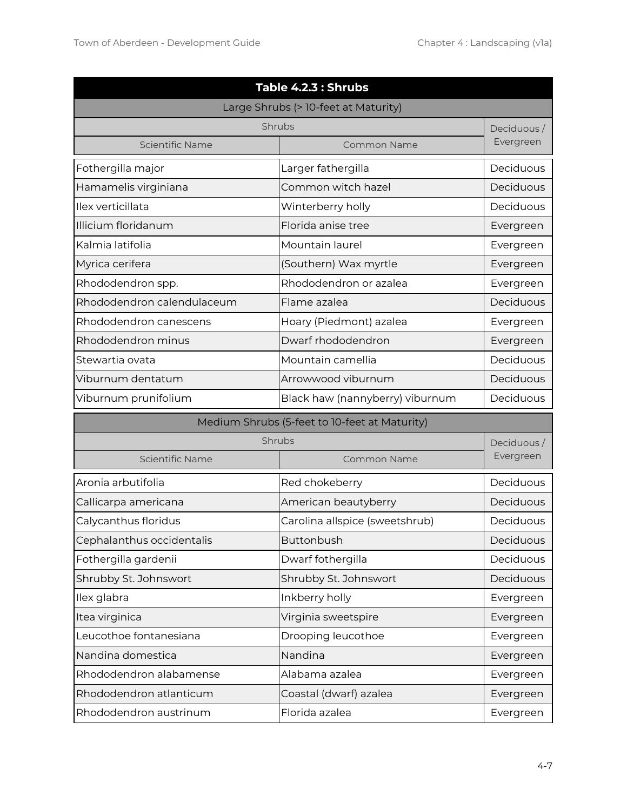| Table 4.2.3 : Shrubs       |                                               |            |  |
|----------------------------|-----------------------------------------------|------------|--|
|                            | Large Shrubs (> 10-feet at Maturity)          |            |  |
|                            | Shrubs                                        | Deciduous/ |  |
| Scientific Name            | <b>Common Name</b>                            | Evergreen  |  |
| Fothergilla major          | Larger fathergilla                            | Deciduous  |  |
| Hamamelis virginiana       | Common witch hazel                            | Deciduous  |  |
| Ilex verticillata          | Winterberry holly                             | Deciduous  |  |
| Illicium floridanum        | Florida anise tree                            | Evergreen  |  |
| Kalmia latifolia           | Mountain laurel                               | Evergreen  |  |
| Myrica cerifera            | (Southern) Wax myrtle                         | Evergreen  |  |
| Rhododendron spp.          | Rhododendron or azalea                        | Evergreen  |  |
| Rhododendron calendulaceum | Flame azalea                                  | Deciduous  |  |
| Rhododendron canescens     | Hoary (Piedmont) azalea                       | Evergreen  |  |
| Rhododendron minus         | Dwarf rhododendron                            | Evergreen  |  |
| Stewartia ovata            | Mountain camellia                             | Deciduous  |  |
| Viburnum dentatum          | Arrowwood viburnum                            | Deciduous  |  |
| Viburnum prunifolium       | Black haw (nannyberry) viburnum               | Deciduous  |  |
|                            | Medium Shrubs (5-feet to 10-feet at Maturity) |            |  |
|                            | Shrubs                                        | Deciduous/ |  |
| Scientific Name            | <b>Common Name</b>                            | Evergreen  |  |
| Aronia arbutifolia         | Red chokeberry                                | Deciduous  |  |
| Callicarpa americana       | American beautyberry                          | Deciduous  |  |
| Calycanthus floridus       | Carolina allspice (sweetshrub)                | Deciduous  |  |
| Cephalanthus occidentalis  | Buttonbush                                    | Deciduous  |  |
| Fothergilla gardenii       | Dwarf fothergilla                             | Deciduous  |  |
| Shrubby St. Johnswort      | Shrubby St. Johnswort                         | Deciduous  |  |
| Ilex glabra                | Inkberry holly                                | Evergreen  |  |
| Itea virginica             | Virginia sweetspire                           | Evergreen  |  |
| Leucothoe fontanesiana     | Drooping leucothoe                            | Evergreen  |  |
| Nandina domestica          | Nandina                                       | Evergreen  |  |
| Rhododendron alabamense    | Alabama azalea                                | Evergreen  |  |
| Rhododendron atlanticum    | Coastal (dwarf) azalea                        | Evergreen  |  |
| Rhododendron austrinum     | Florida azalea                                | Evergreen  |  |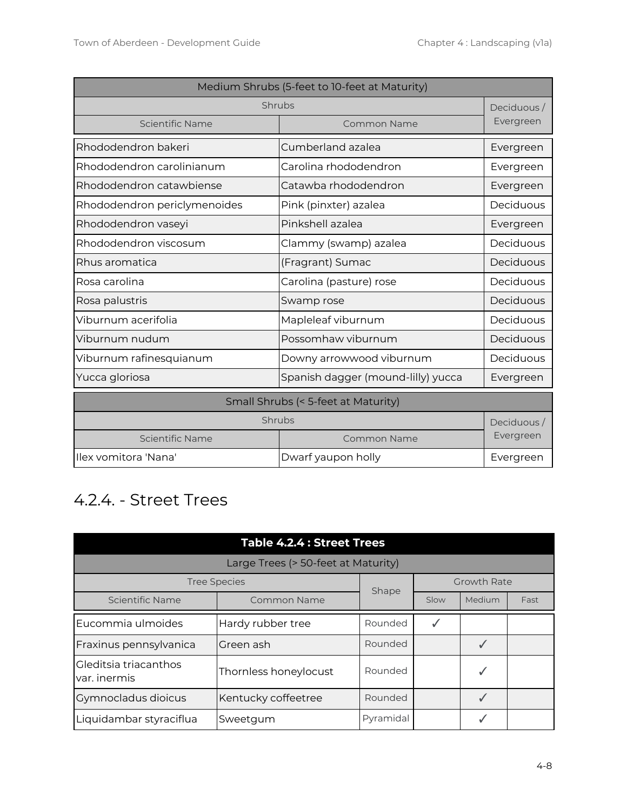| Medium Shrubs (5-feet to 10-feet at Maturity) |                                     |            |
|-----------------------------------------------|-------------------------------------|------------|
| Shrubs                                        |                                     | Deciduous/ |
| Scientific Name                               | <b>Common Name</b>                  | Evergreen  |
| Rhododendron bakeri                           | Cumberland azalea                   | Evergreen  |
| Rhododendron carolinianum                     | Carolina rhododendron               | Evergreen  |
| Rhododendron catawbiense                      | Catawba rhododendron                | Evergreen  |
| Rhododendron periclymenoides                  | Pink (pinxter) azalea               | Deciduous  |
| Rhododendron vaseyi                           | Pinkshell azalea                    | Evergreen  |
| Rhododendron viscosum                         | Clammy (swamp) azalea               | Deciduous  |
| Rhus aromatica                                | (Fragrant) Sumac                    | Deciduous  |
| Rosa carolina                                 | Carolina (pasture) rose             | Deciduous  |
| Rosa palustris                                | Swamp rose                          | Deciduous  |
| Viburnum acerifolia                           | Mapleleaf viburnum                  | Deciduous  |
| Viburnum nudum                                | Possomhaw viburnum                  | Deciduous  |
| Viburnum rafinesquianum                       | Downy arrowwood viburnum            | Deciduous  |
| Yucca gloriosa                                | Spanish dagger (mound-lilly) yucca  | Evergreen  |
|                                               | Small Shrubs (< 5-feet at Maturity) |            |
|                                               | Shrubs                              | Deciduous/ |
| Scientific Name                               | Common Name                         | Evergreen  |
| Ilex vomitora 'Nana'                          | Dwarf yaupon holly                  | Evergreen  |

#### <span id="page-7-0"></span>4.2.4. - Street Trees

| <b>Table 4.2.4 : Street Trees</b>         |                                     |           |      |        |      |
|-------------------------------------------|-------------------------------------|-----------|------|--------|------|
|                                           | Large Trees (> 50-feet at Maturity) |           |      |        |      |
| <b>Growth Rate</b><br><b>Tree Species</b> |                                     |           |      |        |      |
| Scientific Name                           | Common Name                         | Shape     | Slow | Medium | Fast |
| Eucommia ulmoides                         | Hardy rubber tree                   | Rounded   | ✓    |        |      |
| Fraxinus pennsylvanica                    | Green ash                           | Rounded   |      |        |      |
| Gleditsia triacanthos<br>var. inermis     | Thornless honeylocust               | Rounded   |      |        |      |
| Gymnocladus dioicus                       | Kentucky coffeetree                 | Rounded   |      |        |      |
| Liquidambar styraciflua                   | Sweetqum                            | Pyramidal |      |        |      |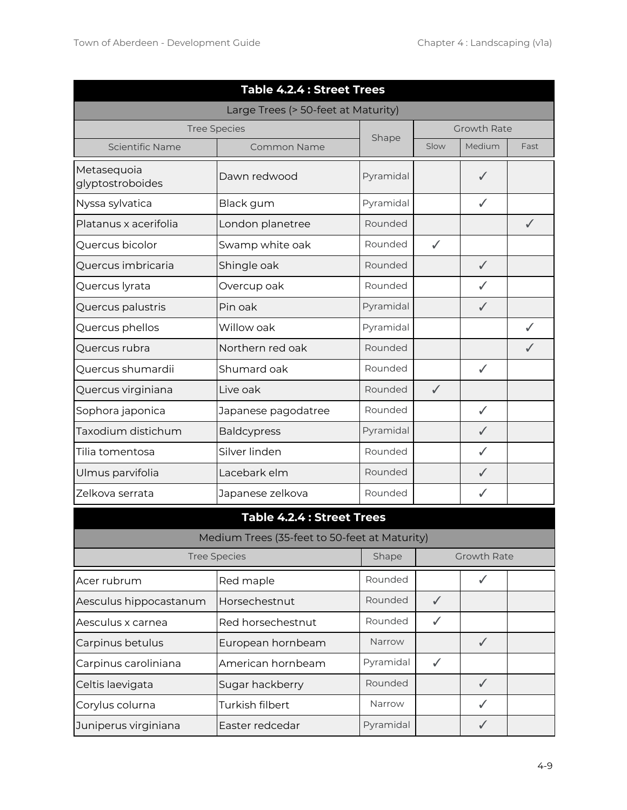| <b>Table 4.2.4 : Street Trees</b>   |                                               |           |              |                    |              |
|-------------------------------------|-----------------------------------------------|-----------|--------------|--------------------|--------------|
| Large Trees (> 50-feet at Maturity) |                                               |           |              |                    |              |
|                                     | <b>Tree Species</b>                           | Shape     |              | <b>Growth Rate</b> |              |
| Scientific Name                     | <b>Common Name</b>                            |           | Slow         | Medium             | Fast         |
| Metasequoia<br>glyptostroboides     | Dawn redwood                                  | Pyramidal |              | ✓                  |              |
| Nyssa sylvatica                     | Black gum                                     | Pyramidal |              | ✓                  |              |
| Platanus x acerifolia               | London planetree                              | Rounded   |              |                    | $\checkmark$ |
| Quercus bicolor                     | Swamp white oak                               | Rounded   | $\checkmark$ |                    |              |
| Quercus imbricaria                  | Shingle oak                                   | Rounded   |              | $\checkmark$       |              |
| Quercus lyrata                      | Overcup oak                                   | Rounded   |              | $\checkmark$       |              |
| Quercus palustris                   | Pin oak                                       | Pyramidal |              | ✓                  |              |
| Quercus phellos                     | Willow oak                                    | Pyramidal |              |                    | ✓            |
| Quercus rubra                       | Northern red oak                              | Rounded   |              |                    | ✓            |
| Quercus shumardii                   | Shumard oak                                   | Rounded   |              | ✓                  |              |
| Quercus virginiana                  | Live oak                                      | Rounded   | $\checkmark$ |                    |              |
| Sophora japonica                    | Japanese pagodatree                           | Rounded   |              | $\checkmark$       |              |
| Taxodium distichum                  | <b>Baldcypress</b>                            | Pyramidal |              | ✓                  |              |
| Tilia tomentosa                     | Silver linden                                 | Rounded   |              | $\checkmark$       |              |
| Ulmus parvifolia                    | Lacebark elm                                  | Rounded   |              | $\checkmark$       |              |
| Zelkova serrata                     | Japanese zelkova                              | Rounded   |              | ✓                  |              |
|                                     | <b>Table 4.2.4 : Street Trees</b>             |           |              |                    |              |
|                                     | Medium Trees (35-feet to 50-feet at Maturity) |           |              |                    |              |
|                                     | <b>Tree Species</b>                           | Shape     |              | Growth Rate        |              |
| Acer rubrum                         | Red maple                                     | Rounded   |              | $\checkmark$       |              |
| Aesculus hippocastanum              | Horsechestnut                                 | Rounded   | $\checkmark$ |                    |              |
| Aesculus x carnea                   | Red horsechestnut                             | Rounded   | ✓            |                    |              |
| Carpinus betulus                    | European hornbeam                             | Narrow    |              | $\checkmark$       |              |
| Carpinus caroliniana                | American hornbeam                             | Pyramidal | $\checkmark$ |                    |              |
| Celtis laevigata                    | Sugar hackberry                               | Rounded   |              | $\checkmark$       |              |
| Corylus colurna                     | Turkish filbert                               | Narrow    |              | ✓                  |              |
| Juniperus virginiana                | Easter redcedar                               | Pyramidal |              | $\checkmark$       |              |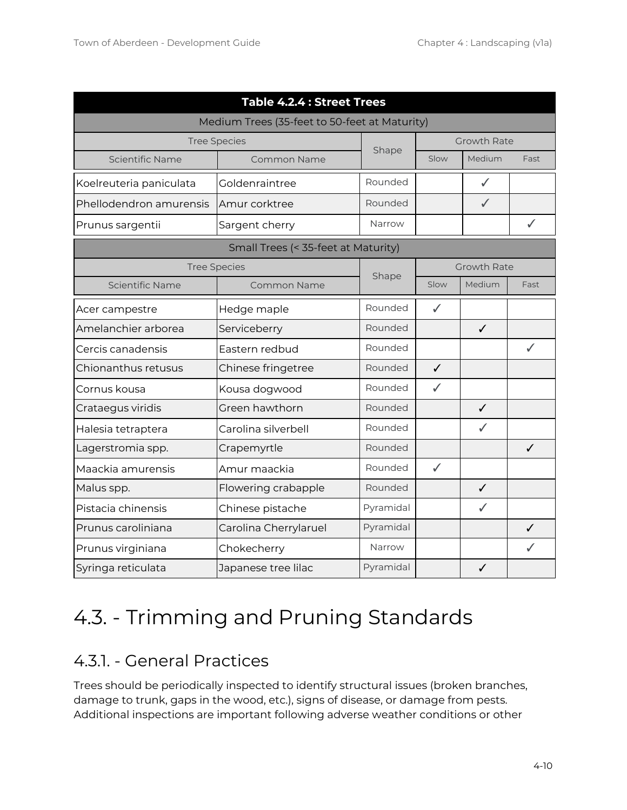| <b>Table 4.2.4 : Street Trees</b>             |                                     |           |                    |                    |              |
|-----------------------------------------------|-------------------------------------|-----------|--------------------|--------------------|--------------|
| Medium Trees (35-feet to 50-feet at Maturity) |                                     |           |                    |                    |              |
|                                               | <b>Tree Species</b>                 | Shape     | <b>Growth Rate</b> |                    |              |
| Scientific Name                               | Common Name                         |           | Slow               | Medium             | Fast         |
| Koelreuteria paniculata                       | Goldenraintree                      | Rounded   |                    | $\checkmark$       |              |
| Phellodendron amurensis                       | Amur corktree                       | Rounded   |                    | ✓                  |              |
| Prunus sargentii                              | Sargent cherry                      | Narrow    |                    |                    | ✓            |
|                                               | Small Trees (< 35-feet at Maturity) |           |                    |                    |              |
|                                               | <b>Tree Species</b>                 | Shape     |                    | <b>Growth Rate</b> |              |
| Scientific Name                               | Common Name                         |           | Slow               | Medium             | Fast         |
| Acer campestre                                | Hedge maple                         | Rounded   | ✓                  |                    |              |
| Amelanchier arborea                           | Serviceberry                        | Rounded   |                    | $\checkmark$       |              |
| Cercis canadensis                             | Eastern redbud                      | Rounded   |                    |                    | $\checkmark$ |
| Chionanthus retusus                           | Chinese fringetree                  | Rounded   | $\checkmark$       |                    |              |
| Cornus kousa                                  | Kousa dogwood                       | Rounded   | ✓                  |                    |              |
| Crataegus viridis                             | Green hawthorn                      | Rounded   |                    | $\checkmark$       |              |
| Halesia tetraptera                            | Carolina silverbell                 | Rounded   |                    | $\checkmark$       |              |
| Lagerstromia spp.                             | Crapemyrtle                         | Rounded   |                    |                    | $\checkmark$ |
| Maackia amurensis                             | Amur maackia                        | Rounded   | $\checkmark$       |                    |              |
| Malus spp.                                    | Flowering crabapple                 | Rounded   |                    | $\checkmark$       |              |
| Pistacia chinensis                            | Chinese pistache                    | Pyramidal |                    | $\checkmark$       |              |
| Prunus caroliniana                            | Carolina Cherrylaruel               | Pyramidal |                    |                    |              |
| Prunus virginiana                             | Chokecherry                         | Narrow    |                    |                    |              |
| Syringa reticulata                            | Japanese tree lilac                 | Pyramidal |                    | ✓                  |              |

## <span id="page-9-0"></span>4.3. - Trimming and Pruning Standards

#### <span id="page-9-1"></span>4.3.1. - General Practices

Trees should be periodically inspected to identify structural issues (broken branches, damage to trunk, gaps in the wood, etc.), signs of disease, or damage from pests. Additional inspections are important following adverse weather conditions or other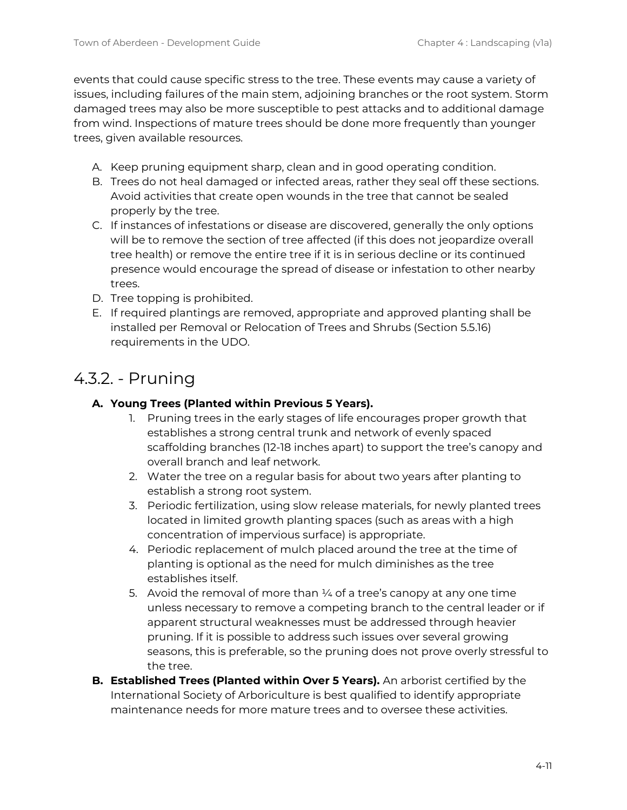events that could cause specific stress to the tree. These events may cause a variety of issues, including failures of the main stem, adjoining branches or the root system. Storm damaged trees may also be more susceptible to pest attacks and to additional damage from wind. Inspections of mature trees should be done more frequently than younger trees, given available resources.

- A. Keep pruning equipment sharp, clean and in good operating condition.
- B. Trees do not heal damaged or infected areas, rather they seal off these sections. Avoid activities that create open wounds in the tree that cannot be sealed properly by the tree.
- C. If instances of infestations or disease are discovered, generally the only options will be to remove the section of tree affected (if this does not jeopardize overall tree health) or remove the entire tree if it is in serious decline or its continued presence would encourage the spread of disease or infestation to other nearby trees.
- D. Tree topping is prohibited.
- E. If required plantings are removed, appropriate and approved planting shall be installed per Removal or Relocation of Trees and Shrubs (Section 5.5.16) requirements in the UDO.

#### <span id="page-10-0"></span>4.3.2. - Pruning

#### **A. Young Trees (Planted within Previous 5 Years).**

- 1. Pruning trees in the early stages of life encourages proper growth that establishes a strong central trunk and network of evenly spaced scaffolding branches (12-18 inches apart) to support the tree's canopy and overall branch and leaf network.
- 2. Water the tree on a regular basis for about two years after planting to establish a strong root system.
- 3. Periodic fertilization, using slow release materials, for newly planted trees located in limited growth planting spaces (such as areas with a high concentration of impervious surface) is appropriate.
- 4. Periodic replacement of mulch placed around the tree at the time of planting is optional as the need for mulch diminishes as the tree establishes itself.
- 5. Avoid the removal of more than  $\frac{1}{4}$  of a tree's canopy at any one time unless necessary to remove a competing branch to the central leader or if apparent structural weaknesses must be addressed through heavier pruning. If it is possible to address such issues over several growing seasons, this is preferable, so the pruning does not prove overly stressful to the tree.
- **B. Established Trees (Planted within Over 5 Years).** An arborist certified by the International Society of Arboriculture is best qualified to identify appropriate maintenance needs for more mature trees and to oversee these activities.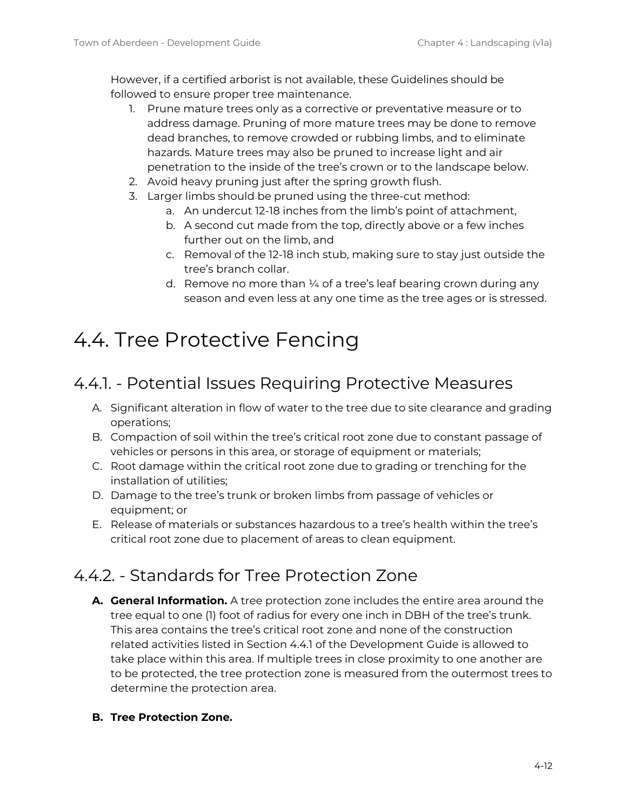However, if a certified arborist is not available, these Guidelines should be followed to ensure proper tree maintenance.

- 1. Prune mature trees only as a corrective or preventative measure or to address damage. Pruning of more mature trees may be done to remove dead branches, to remove crowded or rubbing limbs, and to eliminate hazards. Mature trees may also be pruned to increase light and air penetration to the inside of the tree's crown or to the landscape below.
- 2. Avoid heavy pruning just after the spring growth flush.
- 3. Larger limbs should be pruned using the three-cut method:
	- a. An undercut 12-18 inches from the limb's point of attachment,
	- b. A second cut made from the top, directly above or a few inches further out on the limb, and
	- c. Removal of the 12-18 inch stub, making sure to stay just outside the tree's branch collar.
	- d. Remove no more than  $\frac{1}{4}$  of a tree's leaf bearing crown during any season and even less at any one time as the tree ages or is stressed.

### <span id="page-11-0"></span>4.4. Tree Protective Fencing

#### <span id="page-11-1"></span>4.4.1. - Potential Issues Requiring Protective Measures

- A. Significant alteration in flow of water to the tree due to site clearance and grading operations;
- B. Compaction of soil within the tree's critical root zone due to constant passage of vehicles or persons in this area, or storage of equipment or materials;
- C. Root damage within the critical root zone due to grading or trenching for the installation of utilities;
- D. Damage to the tree's trunk or broken limbs from passage of vehicles or equipment; or
- E. Release of materials or substances hazardous to a tree's health within the tree's critical root zone due to placement of areas to clean equipment.

#### <span id="page-11-2"></span>4.4.2. - Standards for Tree Protection Zone

- **A. General Information.** A tree protection zone includes the entire area around the tree equal to one (1) foot of radius for every one inch in DBH of the tree's trunk. This area contains the tree's critical root zone and none of the construction related activities listed in Section 4.4.1 of the Development Guide is allowed to take place within this area. If multiple trees in close proximity to one another are to be protected, the tree protection zone is measured from the outermost trees to determine the protection area.
- **B. Tree Protection Zone.**